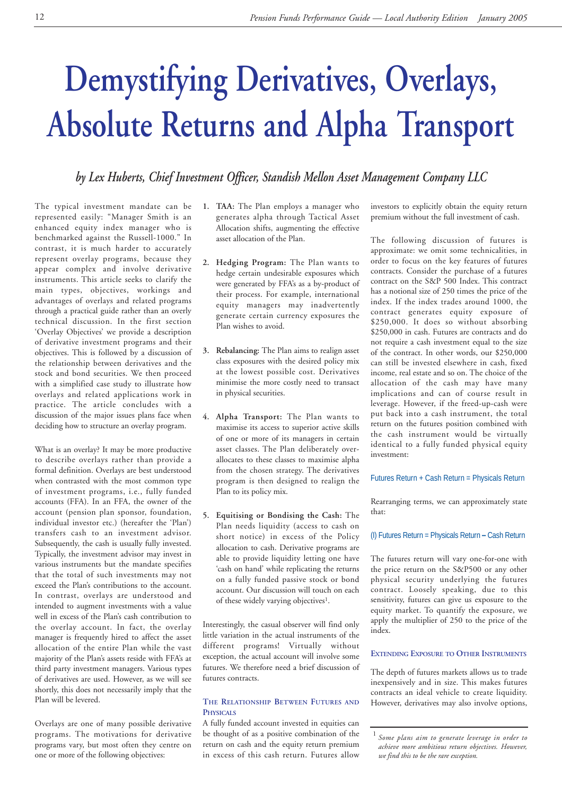# **Demystifying Derivatives, Overlays, Absolute Returns and Alpha Transport**

# *by Lex Huberts, Chief Investment Officer, Standish Mellon Asset Management Company LLC*

The typical investment mandate can be represented easily: "Manager Smith is an enhanced equity index manager who is benchmarked against the Russell-1000." In contrast, it is much harder to accurately represent overlay programs, because they appear complex and involve derivative instruments. This article seeks to clarify the main types, objectives, workings and advantages of overlays and related programs through a practical guide rather than an overly technical discussion. In the first section 'Overlay Objectives' we provide a description of derivative investment programs and their objectives. This is followed by a discussion of the relationship between derivatives and the stock and bond securities. We then proceed with a simplified case study to illustrate how overlays and related applications work in practice. The article concludes with a discussion of the major issues plans face when deciding how to structure an overlay program.

What is an overlay? It may be more productive to describe overlays rather than provide a formal definition. Overlays are best understood when contrasted with the most common type of investment programs, i.e., fully funded accounts (FFA). In an FFA, the owner of the account (pension plan sponsor, foundation, individual investor etc.) (hereafter the 'Plan') transfers cash to an investment advisor. Subsequently, the cash is usually fully invested. Typically, the investment advisor may invest in various instruments but the mandate specifies that the total of such investments may not exceed the Plan's contributions to the account. In contrast, overlays are understood and intended to augment investments with a value well in excess of the Plan's cash contribution to the overlay account. In fact, the overlay manager is frequently hired to affect the asset allocation of the entire Plan while the vast majority of the Plan's assets reside with FFA's at third party investment managers. Various types of derivatives are used. However, as we will see shortly, this does not necessarily imply that the Plan will be levered.

Overlays are one of many possible derivative programs. The motivations for derivative programs vary, but most often they centre on one or more of the following objectives:

- **1. TAA:** The Plan employs a manager who generates alpha through Tactical Asset Allocation shifts, augmenting the effective asset allocation of the Plan.
- **2. Hedging Program:** The Plan wants to hedge certain undesirable exposures which were generated by FFA's as a by-product of their process. For example, international equity managers may inadvertently generate certain currency exposures the Plan wishes to avoid.
- **3. Rebalancing:** The Plan aims to realign asset class exposures with the desired policy mix at the lowest possible cost. Derivatives minimise the more costly need to transact in physical securities.
- **4. Alpha Transport:** The Plan wants to maximise its access to superior active skills of one or more of its managers in certain asset classes. The Plan deliberately overallocates to these classes to maximise alpha from the chosen strategy. The derivatives program is then designed to realign the Plan to its policy mix.
- **5. Equitising or Bondising the Cash:** The Plan needs liquidity (access to cash on short notice) in excess of the Policy allocation to cash. Derivative programs are able to provide liquidity letting one have 'cash on hand' while replicating the returns on a fully funded passive stock or bond account. Our discussion will touch on each of these widely varying objectives1.

Interestingly, the casual observer will find only little variation in the actual instruments of the different programs! Virtually without exception, the actual account will involve some futures. We therefore need a brief discussion of futures contracts.

# **THE RELATIONSHIP BETWEEN FUTURES AND PHYSICALS**

A fully funded account invested in equities can be thought of as a positive combination of the return on cash and the equity return premium in excess of this cash return. Futures allow

investors to explicitly obtain the equity return premium without the full investment of cash.

The following discussion of futures is approximate: we omit some technicalities, in order to focus on the key features of futures contracts. Consider the purchase of a futures contract on the S&P 500 Index. This contract has a notional size of 250 times the price of the index. If the index trades around 1000, the contract generates equity exposure of \$250,000. It does so without absorbing \$250,000 in cash. Futures are contracts and do not require a cash investment equal to the size of the contract. In other words, our \$250,000 can still be invested elsewhere in cash, fixed income, real estate and so on. The choice of the allocation of the cash may have many implications and can of course result in leverage. However, if the freed-up-cash were put back into a cash instrument, the total return on the futures position combined with the cash instrument would be virtually identical to a fully funded physical equity investment:

Futures Return + Cash Return = Physicals Return

Rearranging terms, we can approximately state that:

# (I) Futures Return = Physicals Return **–** Cash Return

The futures return will vary one-for-one with the price return on the S&P500 or any other physical security underlying the futures contract. Loosely speaking, due to this sensitivity, futures can give us exposure to the equity market. To quantify the exposure, we apply the multiplier of 250 to the price of the index.

# **EXTENDING EXPOSURE TO OTHER INSTRUMENTS**

The depth of futures markets allows us to trade inexpensively and in size. This makes futures contracts an ideal vehicle to create liquidity. However, derivatives may also involve options,

<sup>1</sup> *Some plans aim to generate leverage in order to achieve more ambitious return objectives. However, we find this to be the rare exception.*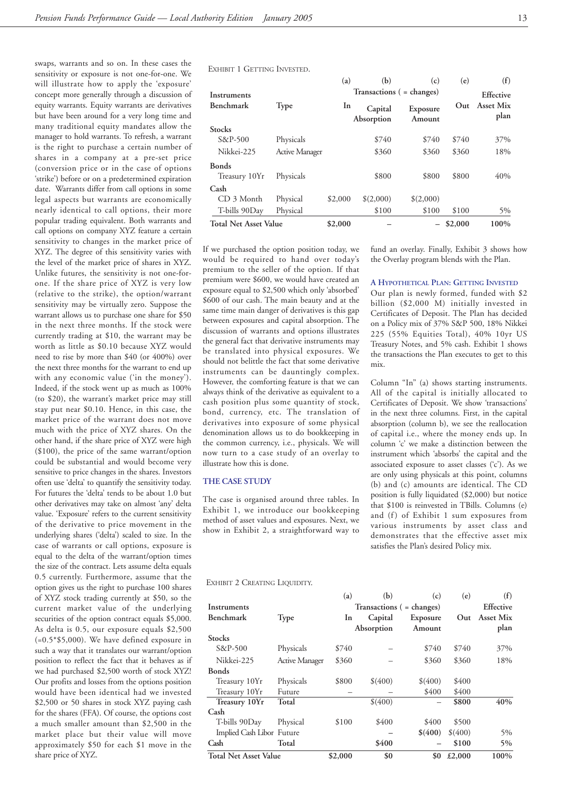swaps, warrants and so on. In these cases the sensitivity or exposure is not one-for-one. We will illustrate how to apply the 'exposure' concept more generally through a discussion of equity warrants. Equity warrants are derivatives but have been around for a very long time and many traditional equity mandates allow the manager to hold warrants. To refresh, a warrant is the right to purchase a certain number of shares in a company at a pre-set price (conversion price or in the case of options 'strike') before or on a predetermined expiration date. Warrants differ from call options in some legal aspects but warrants are economically nearly identical to call options, their more popular trading equivalent. Both warrants and call options on company XYZ feature a certain sensitivity to changes in the market price of XYZ. The degree of this sensitivity varies with the level of the market price of shares in XYZ. Unlike futures, the sensitivity is not one-forone. If the share price of XYZ is very low (relative to the strike), the option/warrant sensitivity may be virtually zero. Suppose the warrant allows us to purchase one share for \$50 in the next three months. If the stock were currently trading at \$10, the warrant may be worth as little as \$0.10 because XYZ would need to rise by more than \$40 (or 400%) over the next three months for the warrant to end up with any economic value ('in the money'). Indeed, if the stock went up as much as 100% (to \$20), the warrant's market price may still stay put near \$0.10. Hence, in this case, the market price of the warrant does not move much with the price of XYZ shares. On the other hand, if the share price of XYZ were high (\$100), the price of the same warrant/option could be substantial and would become very sensitive to price changes in the shares. Investors often use 'delta' to quantify the sensitivity today. For futures the 'delta' tends to be about 1.0 but other derivatives may take on almost 'any' delta value. 'Exposure' refers to the current sensitivity of the derivative to price movement in the underlying shares ('delta') scaled to size. In the case of warrants or call options, exposure is equal to the delta of the warrant/option times the size of the contract. Lets assume delta equals 0.5 currently. Furthermore, assume that the option gives us the right to purchase 100 shares of XYZ stock trading currently at \$50, so the current market value of the underlying securities of the option contract equals \$5,000. As delta is 0.5, our exposure equals \$2,500 (=0.5\*\$5,000). We have defined exposure in such a way that it translates our warrant/option position to reflect the fact that it behaves as if we had purchased \$2,500 worth of stock XYZ! Our profits and losses from the options position would have been identical had we invested \$2,500 or 50 shares in stock XYZ paying cash for the shares (FFA). Of course, the options cost a much smaller amount than \$2,500 in the market place but their value will move approximately \$50 for each \$1 move in the share price of XYZ.

EXHIBIT 1 GETTING INVESTED.

|                              |                       | (a)     | (b)                       | (c)                | (e)       | (f)               |
|------------------------------|-----------------------|---------|---------------------------|--------------------|-----------|-------------------|
| Instruments                  |                       |         | Transactions ( = changes) |                    | Effective |                   |
| Benchmark                    | Type                  | In      | Capital<br>Absorption     | Exposure<br>Amount | Out.      | Asset Mix<br>plan |
| <b>Stocks</b>                |                       |         |                           |                    |           |                   |
| $S\&P-500$                   | Physicals             |         | \$740                     | \$740              | \$740     | 37%               |
| Nikkei-225                   | <b>Active Manager</b> |         | \$360                     | \$360              | \$360     | 18%               |
| <b>Bonds</b>                 |                       |         |                           |                    |           |                   |
| Treasury 10Yr                | Physicals             |         | \$800                     | \$800              | \$800     | 40%               |
| Cash                         |                       |         |                           |                    |           |                   |
| CD 3 Month                   | Physical              | \$2,000 | \$(2,000)                 | \$(2,000)          |           |                   |
| T-bills 90Day                | Physical              |         | \$100                     | \$100              | \$100     | 5%                |
| <b>Total Net Asset Value</b> |                       | \$2,000 |                           |                    | \$2,000   | 100%              |

If we purchased the option position today, we would be required to hand over today's premium to the seller of the option. If that premium were \$600, we would have created an exposure equal to \$2,500 which only 'absorbed' \$600 of our cash. The main beauty and at the same time main danger of derivatives is this gap between exposures and capital absorption. The discussion of warrants and options illustrates the general fact that derivative instruments may be translated into physical exposures. We should not belittle the fact that some derivative instruments can be dauntingly complex. However, the comforting feature is that we can always think of the derivative as equivalent to a cash position plus some quantity of stock, bond, currency, etc. The translation of derivatives into exposure of some physical denomination allows us to do bookkeeping in the common currency, i.e., physicals. We will now turn to a case study of an overlay to illustrate how this is done.

### **THE CASE STUDY**

The case is organised around three tables. In Exhibit 1, we introduce our bookkeeping method of asset values and exposures. Next, we show in Exhibit 2, a straightforward way to

EXHIBIT 2 CREATING LIQUIDITY.

fund an overlay. Finally, Exhibit 3 shows how the Overlay program blends with the Plan.

### **A HYPOTHETICAL PLAN: GETTING INVESTED**

Our plan is newly formed, funded with \$2 billion (\$2,000 M) initially invested in Certificates of Deposit. The Plan has decided on a Policy mix of 37% S&P 500, 18% Nikkei 225 (55% Equities Total), 40% 10yr US Treasury Notes, and 5% cash. Exhibit 1 shows the transactions the Plan executes to get to this mix.

Column "In" (a) shows starting instruments. All of the capital is initially allocated to Certificates of Deposit. We show 'transactions' in the next three columns. First, in the capital absorption (column b), we see the reallocation of capital i.e., where the money ends up. In column 'c' we make a distinction between the instrument which 'absorbs' the capital and the associated exposure to asset classes ('c'). As we are only using physicals at this point, columns (b) and (c) amounts are identical. The CD position is fully liquidated (\$2,000) but notice that \$100 is reinvested in TBills. Columns (e) and (f) of Exhibit 1 sum exposures from various instruments by asset class and demonstrates that the effective asset mix satisfies the Plan's desired Policy mix.

|                              |                       | (a)     | (b)                       | (c)      | (e)       | (f)       |
|------------------------------|-----------------------|---------|---------------------------|----------|-----------|-----------|
| Instruments                  |                       |         | Transactions ( = changes) |          | Effective |           |
| Benchmark                    | <b>Type</b>           | In      | Capital                   | Exposure | Out       | Asset Mix |
|                              |                       |         | Absorption                | Amount   |           | plan      |
| <b>Stocks</b>                |                       |         |                           |          |           |           |
| $S\&P-500$                   | Physicals             | \$740   |                           | \$740    | \$740     | 37%       |
| Nikkei-225                   | <b>Active Manager</b> | \$360   |                           | \$360    | \$360     | 18%       |
| <b>Bonds</b>                 |                       |         |                           |          |           |           |
| Treasury 10Yr                | Physicals             | \$800   | \$(400)                   | \$(400)  | \$400     |           |
| Treasury 10Yr                | Future                |         |                           | \$400    | \$400     |           |
| Treasury 10Yr                | Total                 |         | \$(400)                   |          | \$800     | 40%       |
| Cash                         |                       |         |                           |          |           |           |
| T-bills 90Day                | Physical              | \$100   | \$400                     | \$400    | \$500     |           |
| Implied Cash Libor Future    |                       |         |                           | \$(400)  | \$(400)   | $5\%$     |
| Cash                         | Total                 |         | \$400                     |          | \$100     | 5%        |
| <b>Total Net Asset Value</b> |                       | \$2,000 | \$0                       | \$0      | £2,000    | 100%      |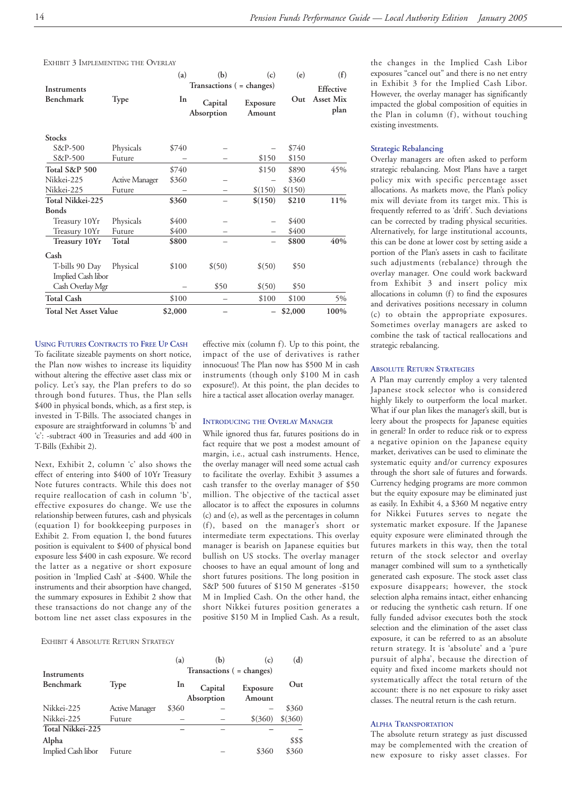EXHIBIT 3 IMPLEMENTING THE OVERLAY

| Instruments                  |                | (a)     | (b)<br>Transactions ( = changes) | (e)                | (f)<br>Effective |                   |
|------------------------------|----------------|---------|----------------------------------|--------------------|------------------|-------------------|
| Benchmark                    | Type           | In      | Capital<br>Absorption            | Exposure<br>Amount | Out              | Asset Mix<br>plan |
| <b>Stocks</b>                |                |         |                                  |                    |                  |                   |
| $S\&P-500$                   | Physicals      | \$740   |                                  |                    | \$740            |                   |
| $S\&P-500$                   | Future         |         |                                  | \$150              | \$150            |                   |
| Total S&P 500                |                | \$740   |                                  | \$150              | \$890            | 45%               |
| Nikkei-225                   | Active Manager | \$360   |                                  |                    | \$360            |                   |
| Nikkei-225                   | Future         |         |                                  | \$(150)            | \$(150)          |                   |
| Total Nikkei-225             |                | \$360   |                                  | \$(150)            | \$210            | 11%               |
| <b>Bonds</b>                 |                |         |                                  |                    |                  |                   |
| Treasury 10Yr                | Physicals      | \$400   |                                  |                    | \$400            |                   |
| Treasury 10Yr                | Future         | \$400   |                                  |                    | \$400            |                   |
| Treasury 10Yr                | Total          | \$800   |                                  |                    | \$800            | 40%               |
| Cash                         |                |         |                                  |                    |                  |                   |
| T-bills 90 Day               | Physical       | \$100   | \$(50)                           | \$(50)             | \$50             |                   |
| <b>Implied Cash libor</b>    |                |         |                                  |                    |                  |                   |
| Cash Overlay Mgr             |                |         | \$50                             | $$^{(50)}$         | \$50             |                   |
| <b>Total Cash</b>            |                | \$100   |                                  | \$100              | \$100            | 5%                |
| <b>Total Net Asset Value</b> |                | \$2,000 |                                  |                    | \$2,000          | 100%              |

effective mix (column f). Up to this point, the impact of the use of derivatives is rather innocuous! The Plan now has \$500 M in cash instruments (though only \$100 M in cash exposure!). At this point, the plan decides to hire a tactical asset allocation overlay manager.

**INTRODUCING THE OVERLAY MANAGER** While ignored thus far, futures positions do in fact require that we post a modest amount of margin, i.e., actual cash instruments. Hence, the overlay manager will need some actual cash to facilitate the overlay. Exhibit 3 assumes a cash transfer to the overlay manager of \$50 million. The objective of the tactical asset allocator is to affect the exposures in columns (c) and (e), as well as the percentages in column (f), based on the manager's short or intermediate term expectations. This overlay manager is bearish on Japanese equities but bullish on US stocks. The overlay manager chooses to have an equal amount of long and short futures positions. The long position in S&P 500 futures of \$150 M generates -\$150 M in Implied Cash. On the other hand, the short Nikkei futures position generates a positive \$150 M in Implied Cash. As a result,

**USING FUTURES CONTRACTS TO FREE UP CASH** To facilitate sizeable payments on short notice, the Plan now wishes to increase its liquidity without altering the effective asset class mix or policy. Let's say, the Plan prefers to do so through bond futures. Thus, the Plan sells \$400 in physical bonds, which, as a first step, is invested in T-Bills. The associated changes in exposure are straightforward in columns 'b' and 'c': -subtract 400 in Treasuries and add 400 in T-Bills (Exhibit 2).

Next, Exhibit 2, column 'c' also shows the effect of entering into \$400 of 10Yr Treasury Note futures contracts. While this does not require reallocation of cash in column 'b', effective exposures do change. We use the relationship between futures, cash and physicals (equation I) for bookkeeping purposes in Exhibit 2. From equation I, the bond futures position is equivalent to \$400 of physical bond exposure less \$400 in cash exposure. We record the latter as a negative or short exposure position in 'Implied Cash' at -\$400. While the instruments and their absorption have changed, the summary exposures in Exhibit 2 show that these transactions do not change any of the bottom line net asset class exposures in the

### EXHIBIT 4 ABSOLUTE RETURN STRATEGY

| Instruments                 |                       | (a)       | (b)<br>Transactions ( = changes) | (c)                | (d)             |
|-----------------------------|-----------------------|-----------|----------------------------------|--------------------|-----------------|
| <b>Benchmark</b>            | <b>Type</b>           | <b>In</b> | Capital<br>Absorption            | Exposure<br>Amount | Out             |
| Nikkei-225                  | <b>Active Manager</b> | \$360     |                                  |                    | \$360           |
| Nikkei-225                  | Future                |           |                                  | $$^{(360)}$        | $$^{(360)}$     |
| Total Nikkei-225            |                       |           |                                  |                    |                 |
| Alpha<br>Implied Cash libor | Future                |           |                                  | \$360              | \$\$\$<br>\$360 |

the changes in the Implied Cash Libor exposures "cancel out" and there is no net entry in Exhibit 3 for the Implied Cash Libor. However, the overlay manager has significantly impacted the global composition of equities in the Plan in column (f), without touching existing investments.

### **Strategic Rebalancing**

Overlay managers are often asked to perform strategic rebalancing. Most Plans have a target policy mix with specific percentage asset allocations. As markets move, the Plan's policy mix will deviate from its target mix. This is frequently referred to as 'drift'. Such deviations can be corrected by trading physical securities. Alternatively, for large institutional accounts, this can be done at lower cost by setting aside a portion of the Plan's assets in cash to facilitate such adjustments (rebalance) through the overlay manager. One could work backward from Exhibit 3 and insert policy mix allocations in column (f) to find the exposures and derivatives positions necessary in column (c) to obtain the appropriate exposures. Sometimes overlay managers are asked to combine the task of tactical reallocations and strategic rebalancing.

### **ABSOLUTE RETURN STRATEGIES**

A Plan may currently employ a very talented Japanese stock selector who is considered highly likely to outperform the local market. What if our plan likes the manager's skill, but is leery about the prospects for Japanese equities in general? In order to reduce risk or to express a negative opinion on the Japanese equity market, derivatives can be used to eliminate the systematic equity and/or currency exposures through the short sale of futures and forwards. Currency hedging programs are more common but the equity exposure may be eliminated just as easily. In Exhibit 4, a \$360 M negative entry for Nikkei Futures serves to negate the systematic market exposure. If the Japanese equity exposure were eliminated through the futures markets in this way, then the total return of the stock selector and overlay manager combined will sum to a synthetically generated cash exposure. The stock asset class exposure disappears; however, the stock selection alpha remains intact, either enhancing or reducing the synthetic cash return. If one fully funded advisor executes both the stock selection and the elimination of the asset class exposure, it can be referred to as an absolute return strategy. It is 'absolute' and a 'pure pursuit of alpha', because the direction of equity and fixed income markets should not systematically affect the total return of the account: there is no net exposure to risky asset classes. The neutral return is the cash return.

### **ALPHA TRANSPORTATION**

The absolute return strategy as just discussed may be complemented with the creation of new exposure to risky asset classes. For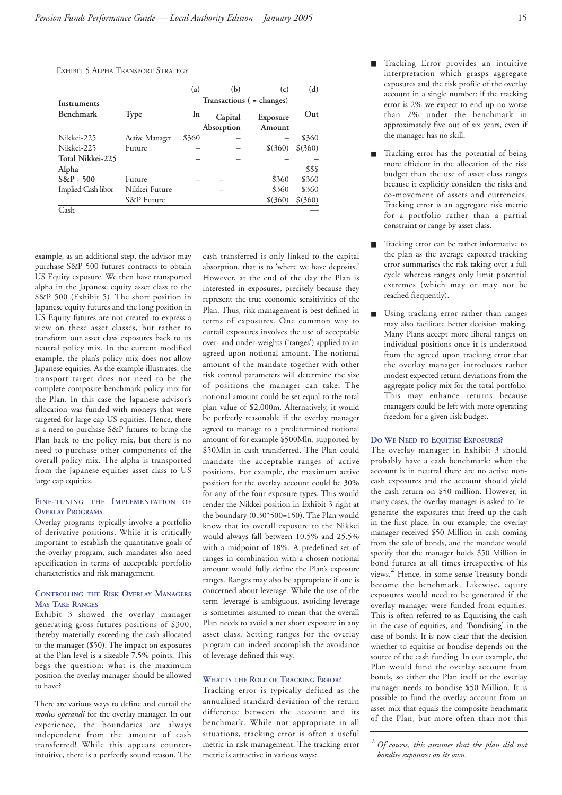EXHIBIT 5 ALPHA TRANSPORT STRATEGY

|                    |                | (a)   | (b)        | (c)                       | (d)          |
|--------------------|----------------|-------|------------|---------------------------|--------------|
| Instruments        |                |       |            | Transactions ( = changes) |              |
| Benchmark          | <b>Type</b>    | In    | Capital    | Exposure                  | $_{\rm Out}$ |
|                    |                |       | Absorption | Amount                    |              |
| Nikkei-225         | Active Manager | \$360 |            |                           | \$360        |
| Nikkei-225         | Future         |       |            | $$^{(360)}$               | $$^{(360)}$  |
| Total Nikkei-225   |                |       |            |                           |              |
| Alpha              |                |       |            |                           | \$\$\$       |
| $S\&P - 500$       | Future         |       |            | \$360                     | \$360        |
| Implied Cash libor | Nikkei Future  |       |            | \$360                     | \$360        |
|                    | S&P Future     |       |            | $$^{(360)}$               | $$^{(360)}$  |
| Cash               |                |       |            |                           |              |

example, as an additional step, the advisor may purchase S&P 500 futures contracts to obtain US Equity exposure. We then have transported alpha in the Japanese equity asset class to the S&P 500 (Exhibit 5). The short position in Japanese equity futures and the long position in US Equity futures are not created to express a view on these asset classes, but rather to transform our asset class exposures back to its neutral policy mix. In the current modified example, the plan's policy mix does not allow Japanese equities. As the example illustrates, the transport target does not need to be the complete composite benchmark policy mix for the Plan. In this case the Japanese advisor's allocation was funded with moneys that were targeted for large cap US equities. Hence, there is a need to purchase S&P futures to bring the Plan back to the policy mix, but there is no need to purchase other components of the overall policy mix. The alpha is transported from the Japanese equities asset class to US large cap equities.

# **FINE-TUNING THE IMPLEMENTATION OF OVERLAY PROGRAMS**

Overlay programs typically involve a portfolio of derivative positions. While it is critically important to establish the quantitative goals of the overlay program, such mandates also need specification in terms of acceptable portfolio characteristics and risk management.

# **CONTROLLING THE RISK OVERLAY MANAGERS MAY TAKE RANGES**

Exhibit 3 showed the overlay manager generating gross futures positions of \$300, thereby materially exceeding the cash allocated to the manager (\$50). The impact on exposures at the Plan level is a sizeable 7.5% points. This begs the question: what is the maximum position the overlay manager should be allowed to have?

There are various ways to define and curtail the *modus operandi* for the overlay manager. In our experience, the boundaries are always independent from the amount of cash transferred! While this appears counterintuitive, there is a perfectly sound reason. The

cash transferred is only linked to the capital absorption, that is to 'where we have deposits.' However, at the end of the day the Plan is interested in exposures, precisely because they represent the true economic sensitivities of the Plan. Thus, risk management is best defined in terms of exposures. One common way to curtail exposures involves the use of acceptable over- and under-weights ('ranges') applied to an agreed upon notional amount. The notional amount of the mandate together with other risk control parameters will determine the size of positions the manager can take. The notional amount could be set equal to the total plan value of \$2,000m. Alternatively, it would be perfectly reasonable if the overlay manager agreed to manage to a predetermined notional amount of for example \$500Mln, supported by \$50Mln in cash transferred. The Plan could mandate the acceptable ranges of active positions. For example, the maximum active position for the overlay account could be 30% for any of the four exposure types. This would render the Nikkei position in Exhibit 3 right at the boundary (0.30\*500=150). The Plan would know that its overall exposure to the Nikkei would always fall between 10.5% and 25.5% with a midpoint of 18%. A predefined set of ranges in combination with a chosen notional amount would fully define the Plan's exposure ranges. Ranges may also be appropriate if one is concerned about leverage. While the use of the term 'leverage' is ambiguous, avoiding leverage is sometimes assumed to mean that the overall Plan needs to avoid a net short exposure in any asset class. Setting ranges for the overlay program can indeed accomplish the avoidance of leverage defined this way.

# **WHAT IS THE ROLE OF TRACKING ERROR?**

Tracking error is typically defined as the annualised standard deviation of the return difference between the account and its benchmark. While not appropriate in all situations, tracking error is often a useful metric in risk management. The tracking error metric is attractive in various ways:

- Tracking Error provides an intuitive interpretation which grasps aggregate exposures and the risk profile of the overlay account in a single number: if the tracking error is 2% we expect to end up no worse than 2% under the benchmark in approximately five out of six years, even if the manager has no skill.
- Tracking error has the potential of being more efficient in the allocation of the risk budget than the use of asset class ranges because it explicitly considers the risks and co-movement of assets and currencies. Tracking error is an aggregate risk metric for a portfolio rather than a partial constraint or range by asset class.
- Tracking error can be rather informative to the plan as the average expected tracking error summarises the risk taking over a full cycle whereas ranges only limit potential extremes (which may or may not be reached frequently).
- Using tracking error rather than ranges may also facilitate better decision making. Many Plans accept more liberal ranges on individual positions once it is understood from the agreed upon tracking error that the overlay manager introduces rather modest expected return deviations from the aggregate policy mix for the total portfolio. This may enhance returns because managers could be left with more operating freedom for a given risk budget.

# **DO WE NEED TO EQUITISE EXPOSURES?**

The overlay manager in Exhibit 3 should probably have a cash benchmark: when the account is in neutral there are no active noncash exposures and the account should yield the cash return on \$50 million. However, in many cases, the overlay manager is asked to 'regenerate' the exposures that freed up the cash in the first place. In our example, the overlay manager received \$50 Million in cash coming from the sale of bonds, and the mandate would specify that the manager holds \$50 Million in bond futures at all times irrespective of his views.<sup>2</sup> Hence, in some sense Treasury bonds become the benchmark. Likewise, equity exposures would need to be generated if the overlay manager were funded from equities. This is often referred to as Equitising the cash in the case of equities, and 'Bondising' in the case of bonds. It is now clear that the decision whether to equitise or bondise depends on the source of the cash funding. In our example, the Plan would fund the overlay account from bonds, so either the Plan itself or the overlay manager needs to bondise \$50 Million. It is possible to fund the overlay account from an asset mix that equals the composite benchmark of the Plan, but more often than not this

<sup>2</sup> *Of course, this assumes that the plan did not bondise exposures on its own.*